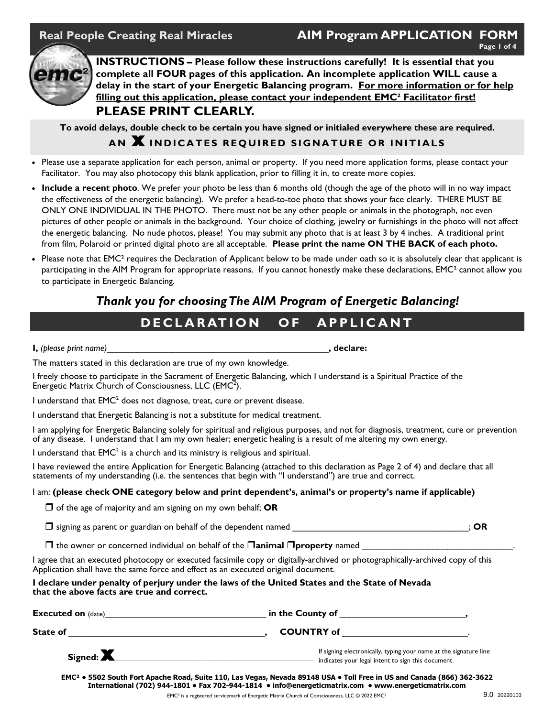### Real People Creating Real Miracles **AIM Program APPLICATION FORM Page 1 of 4**



**INSTRUCTIONS – Please follow these instructions carefully! It is essential that you complete all FOUR pages of this application. An incomplete application WILL cause a delay in the start of your Energetic Balancing program. For more information or for help filling out this application, please contact your independent EMC² Facilitator first! PLEASE PRINT CLEARLY.** 

**To avoid delays, double check to be certain you have signed or initialed everywhere these are required.** 

## **AN X INDICATES REQUIRED SIGNATURE OR INITIALS**

- Please use a separate application for each person, animal or property. If you need more application forms, please contact your Facilitator. You may also photocopy this blank application, prior to filling it in, to create more copies.
- **Include a recent photo**. We prefer your photo be less than 6 months old (though the age of the photo will in no way impact the effectiveness of the energetic balancing). We prefer a head-to-toe photo that shows your face clearly. THERE MUST BE ONLY ONE INDIVIDUAL IN THE PHOTO. There must not be any other people or animals in the photograph, not even pictures of other people or animals in the background. Your choice of clothing, jewelry or furnishings in the photo will not affect the energetic balancing. No nude photos, please! You may submit any photo that is at least 3 by 4 inches. A traditional print from film, Polaroid or printed digital photo are all acceptable. **Please print the name ON THE BACK of each photo.**
- Please note that EMC<sup>2</sup> requires the Declaration of Applicant below to be made under oath so it is absolutely clear that applicant is participating in the AIM Program for appropriate reasons. If you cannot honestly make these declarations, EMC² cannot allow you to participate in Energetic Balancing.

# *Thank you for choosing The AIM Program of Energetic Balancing!*

# **DECLARATION OF APPLICANT**

| I, (please print name) | . declare: |
|------------------------|------------|
|------------------------|------------|

The matters stated in this declaration are true of my own knowledge.

I freely choose to participate in the Sacrament of Energetic Balancing, which I understand is a Spiritual Practice of the Energetic Matrix Church of Consciousness, LLC ( $EMC<sup>2</sup>$ ).

I understand that  $\mathsf{EMC}^2$  does not diagnose, treat, cure or prevent disease.

I understand that Energetic Balancing is not a substitute for medical treatment.

I am applying for Energetic Balancing solely for spiritual and religious purposes, and not for diagnosis, treatment, cure or prevention of any disease. I understand that I am my own healer; energetic healing is a result of me altering my own energy.

I understand that  $EMC<sup>2</sup>$  is a church and its ministry is religious and spiritual.

I have reviewed the entire Application for Energetic Balancing (attached to this declaration as Page 2 of 4) and declare that all statements of my understanding (i.e. the sentences that begin with "I understand") are true and correct.

#### I am: **(please check ONE category below and print dependent's, animal's or property's name if applicable)**

 $\Box$  of the age of majority and am signing on my own behalf; **OR** 

 $\square$  signing as parent or guardian on behalf of the dependent named

 $\Box$  the owner or concerned individual on behalf of the  $\Box$ **animal**  $\Box$ **property** named

I agree that an executed photocopy or executed facsimile copy or digitally-archived or photographically-archived copy of this Application shall have the same force and effect as an executed original document.

#### **I declare under penalty of perjury under the laws of the United States and the State of Nevada that the above facts are true and correct.**

| <b>Executed on (date)</b> | in the County of                                                                                                        |  |
|---------------------------|-------------------------------------------------------------------------------------------------------------------------|--|
| State of                  | <b>COUNTRY of</b>                                                                                                       |  |
| Signed: $\blacksquare$    | If signing electronically, typing your name at the signature line<br>indicates your legal intent to sign this document. |  |

**EMC² • 5502 South Fort Apache Road, Suite 110, Las Vegas, Nevada 89148 USA • Toll Free in US and Canada (866) 362-3622 International (702) 944-1801 • Fax 702-944-1814 • info@energeticmatrix.com • www.energeticmatrix.com**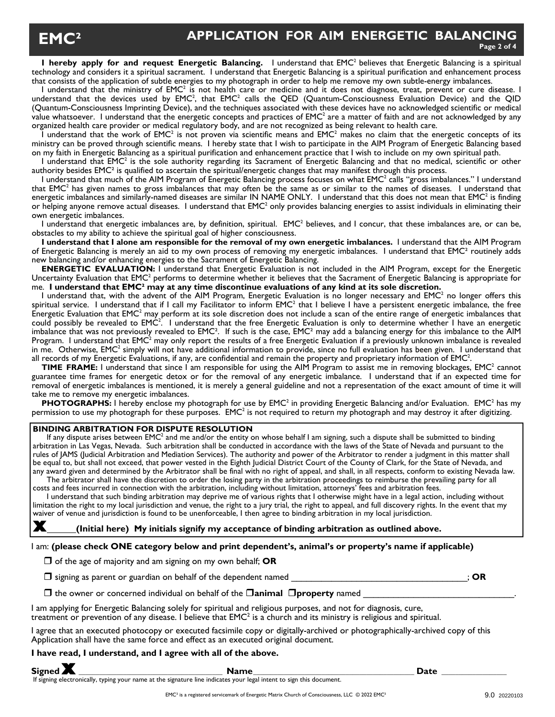**I hereby apply for and request Energetic Balancing.** I understand that EMC<sup>2</sup> believes that Energetic Balancing is a spiritual technology and considers it a spiritual sacrament. I understand that Energetic Balancing is a spiritual purification and enhancement process that consists of the application of subtle energies to my photograph in order to help me remove my own subtle-energy imbalances.

I understand that the ministry of EMC<sup>2</sup> is not health care or medicine and it does not diagnose, treat, prevent or cure disease. I understand that the devices used by  $\mathsf{EMC}^2$ , that  $\mathsf{EMC}^2$  calls the QED (Quantum-Consciousness Evaluation Device) and the QID (Quantum-Consciousness Imprinting Device), and the techniques associated with these devices have no acknowledged scientific or medical value whatsoever. I understand that the energetic concepts and practices of EMC<sup>2</sup> are a matter of faith and are not acknowledged by any organized health care provider or medical regulatory body, and are not recognized as being relevant to health care.

I understand that the work of EMC<sup>2</sup> is not proven via scientific means and EMC<sup>2</sup> makes no claim that the energetic concepts of its ministry can be proved through scientific means. I hereby state that I wish to participate in the AIM Program of Energetic Balancing based on my faith in Energetic Balancing as a spiritual purification and enhancement practice that I wish to include on my own spiritual path.

I understand that EMC<sup>2</sup> is the sole authority regarding its Sacrament of Energetic Balancing and that no medical, scientific or other authority besides EMC² is qualified to ascertain the spiritual/energetic changes that may manifest through this process.

I understand that much of the AIM Program of Energetic Balancing process focuses on what EMC<sup>2</sup> calls "gross imbalances." I understand that EMC<sup>2</sup> has given names to gross imbalances that may often be the same as or similar to the names of diseases. I understand that energetic imbalances and similarly-named diseases are similar IN NAME ONLY. I understand that this does not mean that  $\mathsf{EMC}^2$  is finding or helping anyone remove actual diseases. I understand that  $\mathsf{EMC}^2$  only provides balancing energies to assist individuals in eliminating their own energetic imbalances.

I understand that energetic imbalances are, by definition, spiritual.  $EMC<sup>2</sup>$  believes, and I concur, that these imbalances are, or can be, obstacles to my ability to achieve the spiritual goal of higher consciousness.

**I understand that I alone am responsible for the removal of my own energetic imbalances.** I understand that the AIM Program of Energetic Balancing is merely an aid to my own process of removing my energetic imbalances. I understand that EMC² routinely adds new balancing and/or enhancing energies to the Sacrament of Energetic Balancing.

**ENERGETIC EVALUATION:** I understand that Energetic Evaluation is not included in the AIM Program, except for the Energetic Uncertainty Evaluation that EMC<sup>2</sup> performs to determine whether it believes that the Sacrament of Energetic Balancing is appropriate for me. **I understand that EMC² may at any time discontinue evaluations of any kind at its sole discretion.**

I understand that, with the advent of the AIM Program, Energetic Evaluation is no longer necessary and EMC<sup>2</sup> no longer offers this spiritual service. I understand that if I call my Facilitator to inform EMC<sup>2</sup> that I believe I have a persistent energetic imbalance, the free Energetic Evaluation that EMC<sup>2</sup> may perform at its sole discretion does not include a scan of the entire range of energetic imbalances that could possibly be revealed to EMC<sup>2</sup>. I understand that the free Energetic Evaluation is only to determine whether I have an energetic imbalance that was not previously revealed to EMC². If such is the case, EMC² may add a balancing energy for this imbalance to the AIM Program. I understand that EMC<sup>2</sup> may only report the results of a free Energetic Evaluation if a previously unknown imbalance is revealed in me. Otherwise, EMC<sup>2</sup> simply will not have additional information to provide, since no full evaluation has been given. I understand that all records of my Energetic Evaluations, if any, are confidential and remain the property and proprietary information of EMC<sup>2</sup>.

TIME FRAME: I understand that since I am responsible for using the AIM Program to assist me in removing blockages, EMC<sup>2</sup> cannot guarantee time frames for energetic detox or for the removal of any energetic imbalance. I understand that if an expected time for removal of energetic imbalances is mentioned, it is merely a general guideline and not a representation of the exact amount of time it will take me to remove my energetic imbalances.

PHOTOGRAPHS: I hereby enclose my photograph for use by EMC<sup>2</sup> in providing Energetic Balancing and/or Evaluation. EMC<sup>2</sup> has my permission to use my photograph for these purposes.  $EMC<sup>2</sup>$  is not required to return my photograph and may destroy it after digitizing.

### **BINDING ARBITRATION FOR DISPUTE RESOLUTION**

If any dispute arises between EMC<sup>2</sup> and me and/or the entity on whose behalf I am signing, such a dispute shall be submitted to binding arbitration in Las Vegas, Nevada. Such arbitration shall be conducted in accordance with the laws of the State of Nevada and pursuant to the rules of JAMS (Judicial Arbitration and Mediation Services). The authority and power of the Arbitrator to render a judgment in this matter shall be equal to, but shall not exceed, that power vested in the Eighth Judicial District Court of the County of Clark, for the State of Nevada, and any award given and determined by the Arbitrator shall be final with no right of appeal, and shall, in all respects, conform to existing Nevada law. The arbitrator shall have the discretion to order the losing party in the arbitration proceedings to reimburse the prevailing party for all

costs and fees incurred in connection with the arbitration, including without limitation, attorneys' fees and arbitration fees. I understand that such binding arbitration may deprive me of various rights that I otherwise might have in a legal action, including without limitation the right to my local jurisdiction and venue, the right to a jury trial, the right to appeal, and full discovery rights. In the event that my waiver of venue and jurisdiction is found to be unenforceable, I then agree to binding arbitration in my local jurisdiction.

**X (Initial here) My initials signify my acceptance of binding arbitration as outlined above.** 

#### I am: **(please check ONE category below and print dependent's, animal's or property's name if applicable)**

 $\Box$  of the age of majority and am signing on my own behalf; OR

 $\Box$  signing as parent or guardian on behalf of the dependent named  $\Box$ 

 $\Box$  the owner or concerned individual on behalf of the  $\Box$ **animal**  $\Box$ **property** named

If signing electronically, typing your name at the signature line indicates your legal intent to sign this document.

I am applying for Energetic Balancing solely for spiritual and religious purposes, and not for diagnosis, cure, treatment or prevention of any disease. I believe that  $\mathsf{EMC}^2$  is a church and its ministry is religious and spiritual.

I agree that an executed photocopy or executed facsimile copy or digitally-archived or photographically-archived copy of this Application shall have the same force and effect as an executed original document.

#### **I have read, I understand, and I agree with all of the above.**

**SignedX \_\_\_\_\_\_\_\_\_\_\_\_\_\_\_\_\_\_\_\_\_\_\_\_\_\_\_\_\_\_\_\_\_\_\_\_\_\_\_\_\_\_ Name \_\_\_\_\_\_\_\_\_\_\_\_\_\_\_\_\_\_\_\_\_\_\_\_\_\_\_\_\_\_\_\_\_\_\_\_\_\_\_\_\_\_\_\_\_\_\_ Date \_\_\_\_\_\_\_\_\_\_\_\_\_\_\_\_\_\_\_**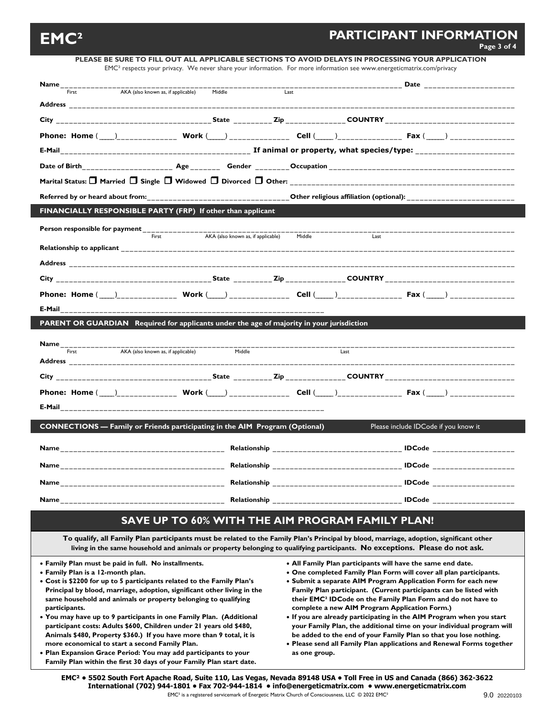# **EMC<sup>2</sup>** PARTICIPANT INFORMATION **PARTICIPANT**

|                                                                                                                                                                                                                                           |                                    | PLEASE BE SURE TO FILL OUT ALL APPLICABLE SECTIONS TO AVOID DELAYS IN PROCESSING YOUR APPLICATION<br>EMC <sup>2</sup> respects your privacy. We never share your information. For more information see www.energeticmatrix.com/privacy                                  |                                                                          |  |
|-------------------------------------------------------------------------------------------------------------------------------------------------------------------------------------------------------------------------------------------|------------------------------------|-------------------------------------------------------------------------------------------------------------------------------------------------------------------------------------------------------------------------------------------------------------------------|--------------------------------------------------------------------------|--|
| <b>Name</b> and the state of the state of the state of the state of the state of the state of the state of the state of the state of the state of the state of the state of the state of the state of the state of the state of the       |                                    |                                                                                                                                                                                                                                                                         | <b>Example 2018 Date Date</b>                                            |  |
| AKA (also known as, if applicable)<br>First                                                                                                                                                                                               | Middle                             | Last                                                                                                                                                                                                                                                                    |                                                                          |  |
| Address and the contract of the contract of the contract of the contract of the contract of the contract of the contract of the contract of the contract of the contract of the contract of the contract of the contract of th            |                                    |                                                                                                                                                                                                                                                                         |                                                                          |  |
|                                                                                                                                                                                                                                           |                                    |                                                                                                                                                                                                                                                                         |                                                                          |  |
|                                                                                                                                                                                                                                           |                                    |                                                                                                                                                                                                                                                                         |                                                                          |  |
|                                                                                                                                                                                                                                           |                                    |                                                                                                                                                                                                                                                                         |                                                                          |  |
|                                                                                                                                                                                                                                           |                                    |                                                                                                                                                                                                                                                                         |                                                                          |  |
| Marital Status: $\Box$ Married $\Box$ Single $\Box$ Widowed $\Box$ Divorced $\Box$ Other:                                                                                                                                                 |                                    |                                                                                                                                                                                                                                                                         |                                                                          |  |
| Referred by or heard about from: Notify and the state of the control of the religious affiliation (optional):                                                                                                                             |                                    |                                                                                                                                                                                                                                                                         |                                                                          |  |
| FINANCIALLY RESPONSIBLE PARTY (FRP) If other than applicant                                                                                                                                                                               |                                    |                                                                                                                                                                                                                                                                         |                                                                          |  |
|                                                                                                                                                                                                                                           |                                    |                                                                                                                                                                                                                                                                         |                                                                          |  |
| First                                                                                                                                                                                                                                     | AKA (also known as, if applicable) | Middle<br>Last                                                                                                                                                                                                                                                          |                                                                          |  |
|                                                                                                                                                                                                                                           |                                    |                                                                                                                                                                                                                                                                         |                                                                          |  |
| Address and the contract of the contract of the contract of the contract of the contract of the contract of the contract of the contract of the contract of the contract of the contract of the contract of the contract of th            |                                    |                                                                                                                                                                                                                                                                         |                                                                          |  |
|                                                                                                                                                                                                                                           |                                    |                                                                                                                                                                                                                                                                         |                                                                          |  |
|                                                                                                                                                                                                                                           |                                    |                                                                                                                                                                                                                                                                         |                                                                          |  |
| E-Mail <b>E-Mail and the Community of the Community of the Community of the Community of the Community of the Community of the Community of the Community of the Community of the Community of the Community of the Community of</b>      |                                    |                                                                                                                                                                                                                                                                         |                                                                          |  |
| PARENT OR GUARDIAN Required for applicants under the age of majority in your jurisdiction                                                                                                                                                 |                                    |                                                                                                                                                                                                                                                                         |                                                                          |  |
|                                                                                                                                                                                                                                           |                                    |                                                                                                                                                                                                                                                                         |                                                                          |  |
|                                                                                                                                                                                                                                           |                                    |                                                                                                                                                                                                                                                                         |                                                                          |  |
| AKA (also known as, if applicable)<br>First                                                                                                                                                                                               | Middle                             | Last                                                                                                                                                                                                                                                                    |                                                                          |  |
|                                                                                                                                                                                                                                           |                                    |                                                                                                                                                                                                                                                                         |                                                                          |  |
|                                                                                                                                                                                                                                           |                                    |                                                                                                                                                                                                                                                                         |                                                                          |  |
|                                                                                                                                                                                                                                           |                                    |                                                                                                                                                                                                                                                                         |                                                                          |  |
|                                                                                                                                                                                                                                           |                                    |                                                                                                                                                                                                                                                                         |                                                                          |  |
| <b>CONNECTIONS</b> — Family or Friends participating in the AIM Program (Optional)                                                                                                                                                        |                                    |                                                                                                                                                                                                                                                                         | Please include IDCode if you know it                                     |  |
|                                                                                                                                                                                                                                           |                                    |                                                                                                                                                                                                                                                                         |                                                                          |  |
|                                                                                                                                                                                                                                           |                                    |                                                                                                                                                                                                                                                                         |                                                                          |  |
|                                                                                                                                                                                                                                           |                                    |                                                                                                                                                                                                                                                                         |                                                                          |  |
| <b>Name</b> <u>and the set of the set of the set of the set of the set of the set of the set of the set of the set of the set of the set of the set of the set of the set of the set of the set of the set of the set of the set of t</u> |                                    |                                                                                                                                                                                                                                                                         |                                                                          |  |
| Name                                                                                                                                                                                                                                      |                                    |                                                                                                                                                                                                                                                                         |                                                                          |  |
|                                                                                                                                                                                                                                           |                                    | <b>SAVE UP TO 60% WITH THE AIM PROGRAM FAMILY PLAN!</b>                                                                                                                                                                                                                 |                                                                          |  |
|                                                                                                                                                                                                                                           |                                    |                                                                                                                                                                                                                                                                         |                                                                          |  |
|                                                                                                                                                                                                                                           |                                    | To qualify, all Family Plan participants must be related to the Family Plan's Principal by blood, marriage, adoption, significant other<br>living in the same household and animals or property belonging to qualifying participants. No exceptions. Please do not ask. |                                                                          |  |
| • Family Plan must be paid in full. No installments.                                                                                                                                                                                      |                                    | • All Family Plan participants will have the same end date.                                                                                                                                                                                                             |                                                                          |  |
| • Family Plan is a 12-month plan.<br>• Cost is \$2200 for up to 5 participants related to the Family Plan's                                                                                                                               |                                    | • One completed Family Plan Form will cover all plan participants.<br>• Submit a separate AIM Program Application Form for each new                                                                                                                                     |                                                                          |  |
| Principal by blood, marriage, adoption, significant other living in the                                                                                                                                                                   |                                    |                                                                                                                                                                                                                                                                         | Family Plan participant. (Current participants can be listed with        |  |
| same household and animals or property belonging to qualifying                                                                                                                                                                            |                                    |                                                                                                                                                                                                                                                                         | their EMC <sup>2</sup> IDCode on the Family Plan Form and do not have to |  |
| participants.<br>• You may have up to 9 participants in one Family Plan. (Additional                                                                                                                                                      |                                    | complete a new AIM Program Application Form.)                                                                                                                                                                                                                           | • If you are already participating in the AIM Program when you start     |  |
| participant costs: Adults \$600, Children under 21 years old \$480,                                                                                                                                                                       |                                    |                                                                                                                                                                                                                                                                         | your Family Plan, the additional time on your individual program will    |  |
| Animals \$480, Property \$360.) If you have more than 9 total, it is<br>more economical to start a second Family Plan.                                                                                                                    |                                    | be added to the end of your Family Plan so that you lose nothing.<br>. Please send all Family Plan applications and Renewal Forms together                                                                                                                              |                                                                          |  |
| . Plan Expansion Grace Period: You may add participants to your                                                                                                                                                                           |                                    | as one group.                                                                                                                                                                                                                                                           |                                                                          |  |
| Family Plan within the first 30 days of your Family Plan start date.                                                                                                                                                                      |                                    |                                                                                                                                                                                                                                                                         |                                                                          |  |

**EMC² • 5502 South Fort Apache Road, Suite 110, Las Vegas, Nevada 89148 USA • Toll Free in US and Canada (866) 362-3622 International (702) 944-1801 • Fax 702-944-1814 • info@energeticmatrix.com • www.energeticmatrix.com**  EMC² is a registered servicemark of Energetic Matrix Church of Consciousness, LLC © 2022 EMC²